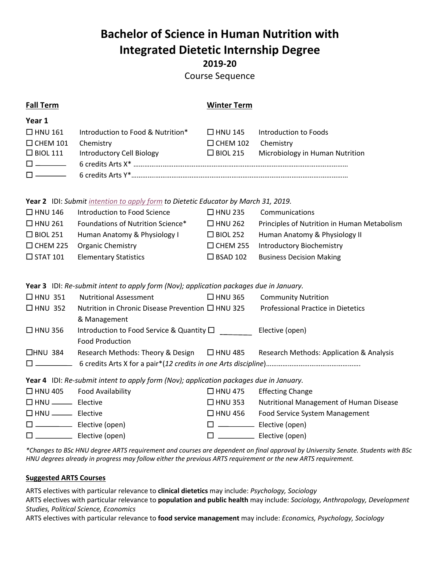# **Bachelor of Science in Human Nutrition with Integrated Dietetic Internship Degree 2019-20**

Course Sequence

## **Fall Term Winter Term**

| Year 1                                                                                                                                                                                                                                                                         |                                                     |                           |                                                 |
|--------------------------------------------------------------------------------------------------------------------------------------------------------------------------------------------------------------------------------------------------------------------------------|-----------------------------------------------------|---------------------------|-------------------------------------------------|
|                                                                                                                                                                                                                                                                                | $\Box$ HNU 161 Introduction to Food & Nutrition*    |                           | $\Box$ HNU 145 Introduction to Foods            |
| $\Box$ CHEM 101 Chemistry                                                                                                                                                                                                                                                      |                                                     | $\Box$ CHEM 102 Chemistry |                                                 |
|                                                                                                                                                                                                                                                                                | $\Box$ BIOL 111 Introductory Cell Biology           |                           | $\Box$ BIOL 215 Microbiology in Human Nutrition |
| $\Box$ and $\Box$ and $\Box$                                                                                                                                                                                                                                                   | 6 credits Arts X* ……………………………………………………………………………………… |                           |                                                 |
| $\Box$ and $\Box$ and $\Box$ and $\Box$ and $\Box$ and $\Box$ and $\Box$ and $\Box$ and $\Box$ and $\Box$ and $\Box$ and $\Box$ and $\Box$ and $\Box$ and $\Box$ and $\Box$ and $\Box$ and $\Box$ and $\Box$ and $\Box$ and $\Box$ and $\Box$ and $\Box$ and $\Box$ and $\Box$ | 6 credits Arts Y*……………………………………………………………………………………   |                           |                                                 |

**Year 2** IDI: *Submit intention to apply form to Dietetic Educator by March 31, 2019.*

| $\Box$ HNU 146  | Introduction to Food Science      | $\Box$ HNU 235  | Communications                              |
|-----------------|-----------------------------------|-----------------|---------------------------------------------|
| $\Box$ HNU 261  | Foundations of Nutrition Science* | $\Box$ HNU 262  | Principles of Nutrition in Human Metabolism |
| $\Box$ BIOL 251 | Human Anatomy & Physiology I      | $\Box$ BIOL 252 | Human Anatomy & Physiology II               |
| $\Box$ CHEM 225 | <b>Organic Chemistry</b>          | $\Box$ CHEM 255 | <b>Introductory Biochemistry</b>            |
| $\Box$ STAT 101 | <b>Elementary Statistics</b>      | $\Box$ BSAD 102 | <b>Business Decision Making</b>             |

**Year 3** IDI: *Re-submit intent to apply form (Nov); application packages due in January.*

| $\Box$ HNU 351 | <b>Nutritional Assessment</b>                          | $\Box$ HNU 365 | <b>Community Nutrition</b>               |
|----------------|--------------------------------------------------------|----------------|------------------------------------------|
| $\Box$ HNU 352 | Nutrition in Chronic Disease Prevention $\Box$ HNU 325 |                | Professional Practice in Dietetics       |
|                | & Management                                           |                |                                          |
| $\Box$ HNU 356 | Introduction to Food Service & Quantity $\Box$         |                | Elective (open)                          |
|                | <b>Food Production</b>                                 |                |                                          |
| $\Box$ HNU 384 | Research Methods: Theory & Design                      | $\Box$ HNU 485 | Research Methods: Application & Analysis |
| $\Box$         |                                                        |                |                                          |

**Year 4** IDI: *Re-submit intent to apply form (Nov); application packages due in January.*

| $\Box$ HNU 405                      | Food Availability | $\Box$ HNU 475 | <b>Effecting Change</b>                 |
|-------------------------------------|-------------------|----------------|-----------------------------------------|
|                                     |                   | $\Box$ HNU 353 | Nutritional Management of Human Disease |
| $\Box$ HNU $\qquad \qquad$ Elective |                   | $\Box$ HNU 456 | Food Service System Management          |
| $\Box$                              | Elective (open)   |                | Elective (open)                         |
| $\Box$ and $\Box$ and $\Box$        | Elective (open)   |                | Elective (open)                         |

*\*Changes to BSc HNU degree ARTS requirement and courses are dependent on final approval by University Senate. Students with BSc HNU degrees already in progress may follow either the previous ARTS requirement or the new ARTS requirement.* 

### **Suggested ARTS Courses**

ARTS electives with particular relevance to **clinical dietetics** may include: *Psychology, Sociology*

ARTS electives with particular relevance to **population and public health** may include: *Sociology, Anthropology, Development Studies, Political Science, Economics*

ARTS electives with particular relevance to **food service management** may include: *Economics, Psychology, Sociology*